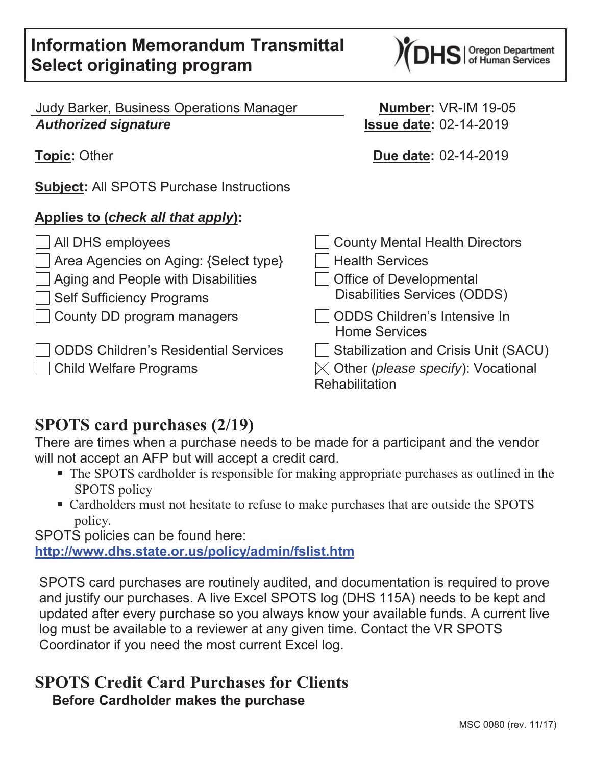Judy Barker, Business Operations Manager **Number:** VR-IM 19-05 *Authorized signature* **Issue date:** 02-14-2019

**Topic:** Other **Due date:** 02-14-2019

**Subject:** All SPOTS Purchase Instructions

## **Applies to (***check all that apply***):**

 $\Box$  All DHS employees Area Agencies on Aging: {Select type}  $\vert$  Aging and People with Disabilities **Self Sufficiency Programs**  $\Box$  County DD program managers Home Services ODDS Children's Residential Services **Child Welfare Programs** 

# **SPOTS card purchases (2/19)**

There are times when a purchase needs to be made for a participant and the vendor will not accept an AFP but will accept a credit card.

- The SPOTS cardholder is responsible for making appropriate purchases as outlined in the SPOTS policy
- Cardholders must not hesitate to refuse to make purchases that are outside the SPOTS policy*.*

SPOTS policies can be found here:

**http://www.dhs.state.or.us/policy/admin/fslist.htm**

SPOTS card purchases are routinely audited, and documentation is required to prove and justify our purchases. A live Excel SPOTS log (DHS 115A) needs to be kept and updated after every purchase so you always know your available funds. A current live log must be available to a reviewer at any given time. Contact the VR SPOTS Coordinator if you need the most current Excel log.

## **SPOTS Credit Card Purchases for Clients Before Cardholder makes the purchase**

| County Mental Health Directors                |
|-----------------------------------------------|
| <b>Health Services</b>                        |
| <b>Office of Developmental</b>                |
| <b>Disabilities Services (ODDS)</b>           |
| <b>ODDS Children's Intensive In</b>           |
| <b>Home Services</b>                          |
| Stabilization and Crisis Unit (SACU)          |
| √ Other ( <i>please specify</i> ): Vocational |
| Rehabilitation                                |

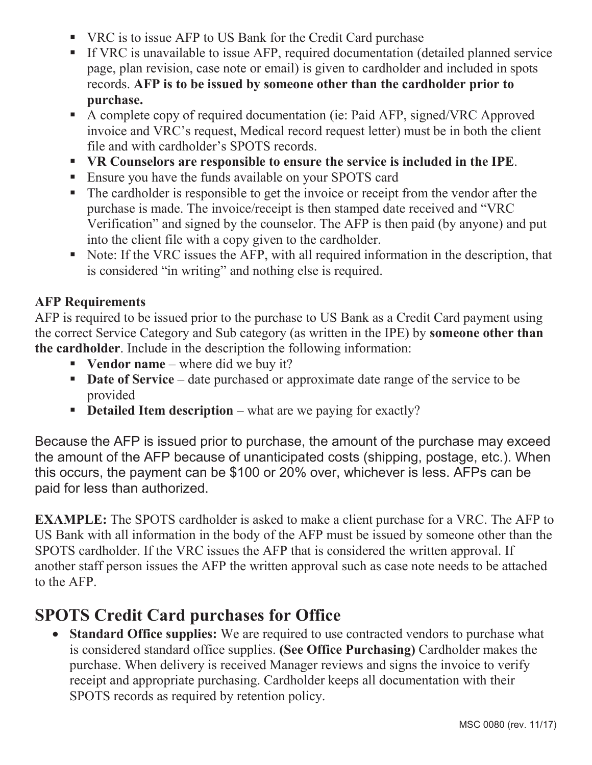- VRC is to issue AFP to US Bank for the Credit Card purchase
- If VRC is unavailable to issue AFP, required documentation (detailed planned service page, plan revision, case note or email) is given to cardholder and included in spots records. **AFP is to be issued by someone other than the cardholder prior to purchase.**
- A complete copy of required documentation (ie: Paid AFP, signed/VRC Approved invoice and VRC's request, Medical record request letter) must be in both the client file and with cardholder's SPOTS records.
- **VR Counselors are responsible to ensure the service is included in the IPE**.
- **Ensure you have the funds available on your SPOTS card**
- The cardholder is responsible to get the invoice or receipt from the vendor after the purchase is made. The invoice/receipt is then stamped date received and "VRC Verification" and signed by the counselor. The AFP is then paid (by anyone) and put into the client file with a copy given to the cardholder.
- Note: If the VRC issues the AFP, with all required information in the description, that is considered "in writing" and nothing else is required.

### **AFP Requirements**

AFP is required to be issued prior to the purchase to US Bank as a Credit Card payment using the correct Service Category and Sub category (as written in the IPE) by **someone other than the cardholder**. Include in the description the following information:

- **Vendor name** where did we buy it?
- **Date of Service** date purchased or approximate date range of the service to be provided
- **Detailed Item description** what are we paying for exactly?

Because the AFP is issued prior to purchase, the amount of the purchase may exceed the amount of the AFP because of unanticipated costs (shipping, postage, etc.). When this occurs, the payment can be \$100 or 20% over, whichever is less. AFPs can be paid for less than authorized.

**EXAMPLE:** The SPOTS cardholder is asked to make a client purchase for a VRC. The AFP to US Bank with all information in the body of the AFP must be issued by someone other than the SPOTS cardholder. If the VRC issues the AFP that is considered the written approval. If another staff person issues the AFP the written approval such as case note needs to be attached to the AFP.

# **SPOTS Credit Card purchases for Office**

• **Standard Office supplies:** We are required to use contracted vendors to purchase what is considered standard office supplies. **(See Office Purchasing)** Cardholder makes the purchase. When delivery is received Manager reviews and signs the invoice to verify receipt and appropriate purchasing. Cardholder keeps all documentation with their SPOTS records as required by retention policy.